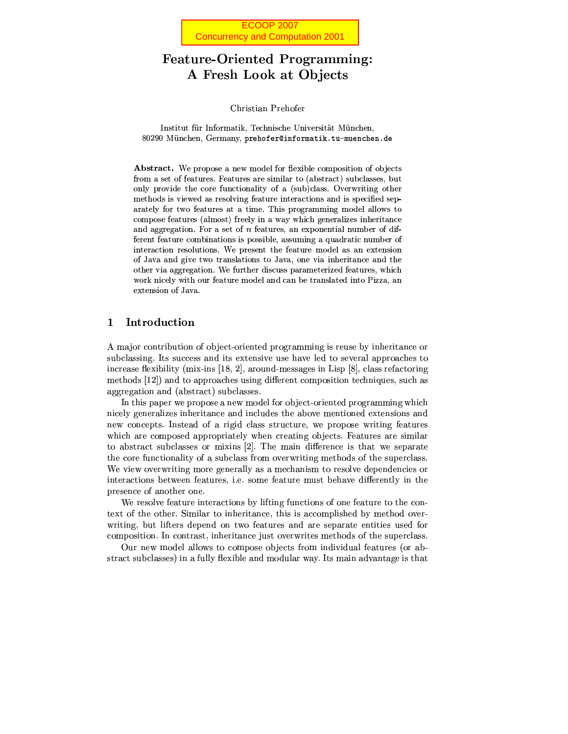

# **Feature-Oriented Programming:** A Fresh Look at Objects

Christian Prehofer

Institut für Informatik, Technische Universität München, 80290 München, Germany, prehofer@informatik.tu-muenchen.de

Abstract. We propose a new model for flexible composition of objects from a set of features. Features are similar to (abstract) subclasses, but only provide the core functionality of a (sub)class. Overwriting other methods is viewed as resolving feature interactions and is specified separately for two features at a time. This programming model allows to compose features (almost) freely in a way which generalizes inheritance and aggregation. For a set of  $n$  features, an exponential number of different feature combinations is possible, assuming a quadratic number of interaction resolutions. We present the feature model as an extension of Java and give two translations to Java, one via inheritance and the other via aggregation. We further discuss parameterized features, which work nicely with our feature model and can be translated into Pizza, an extension of Java.

# $\mathbf 1$ Introduction

A major contribution of object-oriented programming is reuse by inheritance or subclassing. Its success and its extensive use have led to several approaches to increase flexibility ( $mix\text{-}ins$  [18, 2], around-messages in Lisp [8], class refactoring methods [12]) and to approaches using different composition techniques, such as aggregation and (abstract) subclasses.

In this paper we propose a new model for object-oriented programming which nicely generalizes inheritance and includes the above mentioned extensions and new concepts. Instead of a rigid class structure, we propose writing features which are composed appropriately when creating objects. Features are similar to abstract subclasses or mixins [2]. The main difference is that we separate the core functionality of a subclass from overwriting methods of the superclass. We view overwriting more generally as a mechanism to resolve dependencies or interactions between features, i.e. some feature must behave differently in the presence of another one.

We resolve feature interactions by lifting functions of one feature to the context of the other. Similar to inheritance, this is accomplished by method overwriting, but lifters depend on two features and are separate entities used for composition. In contrast, inheritance just overwrites methods of the superclass.

Our new model allows to compose objects from individual features (or abstract subclasses) in a fully flexible and modular way. Its main advantage is that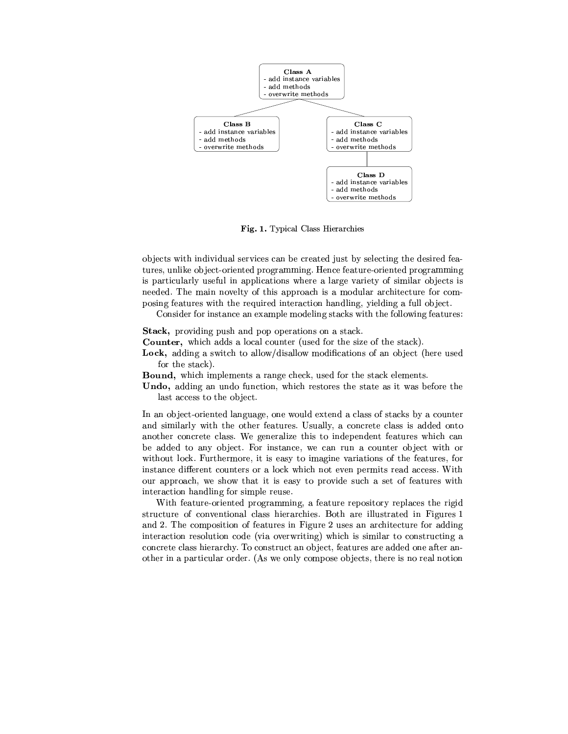

Fig. 1. Typical Class Hierarchies

objects with individual services can be created just by selecting the desired features, unlike object-oriented programming. Hence feature-oriented programming is particularly useful in applications where a large variety of similar objects is needed. The main novelty of this approach is a modular architecture for composing features with the required interaction handling, yielding a full object.

Consider for instance an example modeling stacks with the following features:

Stack, providing push and pop operations on a stack.

**Counter**, which adds a local counter (used for the size of the stack).

Lock, adding a switch to allow/disallow modifications of an object (here used for the stack).

**Bound**, which implements a range check, used for the stack elements.

Undo, adding an undo function, which restores the state as it was before the last access to the object.

In an object-oriented language, one would extend a class of stacks by a counter and similarly with the other features. Usually, a concrete class is added onto another concrete class. We generalize this to independent features which can be added to any object. For instance, we can run a counter object with or without lock. Furthermore, it is easy to imagine variations of the features, for instance different counters or a lock which not even permits read access. With our approach, we show that it is easy to provide such a set of features with interaction handling for simple reuse.

With feature-oriented programming, a feature repository replaces the rigid structure of conventional class hierarchies. Both are illustrated in Figures 1 and 2. The composition of features in Figure 2 uses an architecture for adding interaction resolution code (via overwriting) which is similar to constructing a concrete class hierarchy. To construct an object, features are added one after another in a particular order. (As we only compose objects, there is no real notion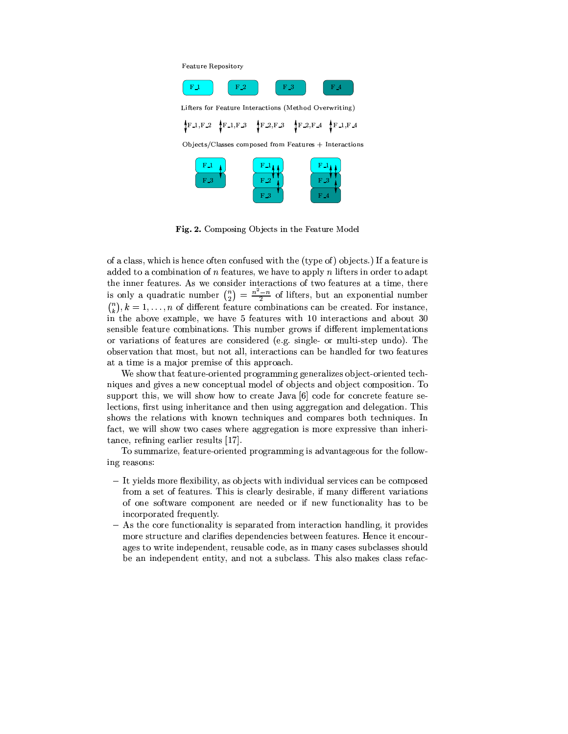**Feature Repository**  $F_{-1}$  $F_2$  $\rm F\_3$  $F<sub>4</sub>$ Lifters for Feature Interactions (Method Overwriting)  $F_{-1}F_{-2}$   $F_{-1}F_{-3}$   $F_{-2}F_{-3}$   $F_{-2}F_{-4}$   $F_{-1}F_{-4}$ Objects/Classes composed from Features + Interactions  $F_1$  $F_3$ 

Fig. 2. Composing Objects in the Feature Model

of a class, which is hence often confused with the (type of) objects.) If a feature is added to a combination of  $n$  features, we have to apply  $n$  lifters in order to adapt the inner features. As we consider interactions of two features at a time, there is only a quadratic number  $\binom{n}{2} = \frac{n^2-n}{2}$  of lifters, but an exponential number  $\binom{n}{k}$ ,  $k = 1, \ldots, n$  of different feature combinations can be created. For instance, in the above example, we have 5 features with 10 interactions and about 30 sensible feature combinations. This number grows if different implementations or variations of features are considered (e.g. single- or multi-step undo). The observation that most, but not all, interactions can be handled for two features at a time is a major premise of this approach.

We show that feature-oriented programming generalizes object-oriented techniques and gives a new conceptual model of objects and object composition. To support this, we will show how to create Java [6] code for concrete feature selections, first using inheritance and then using aggregation and delegation. This shows the relations with known techniques and compares both techniques. In fact, we will show two cases where aggregation is more expressive than inheritance, refining earlier results [17].

To summarize, feature-oriented programming is advantageous for the following reasons:

- It yields more flexibility, as objects with individual services can be composed from a set of features. This is clearly desirable, if many different variations of one software component are needed or if new functionality has to be incorporated frequently.
- As the core functionality is separated from interaction handling, it provides more structure and clarifies dependencies between features. Hence it encourages to write independent, reusable code, as in many cases subclasses should be an independent entity, and not a subclass. This also makes class refac-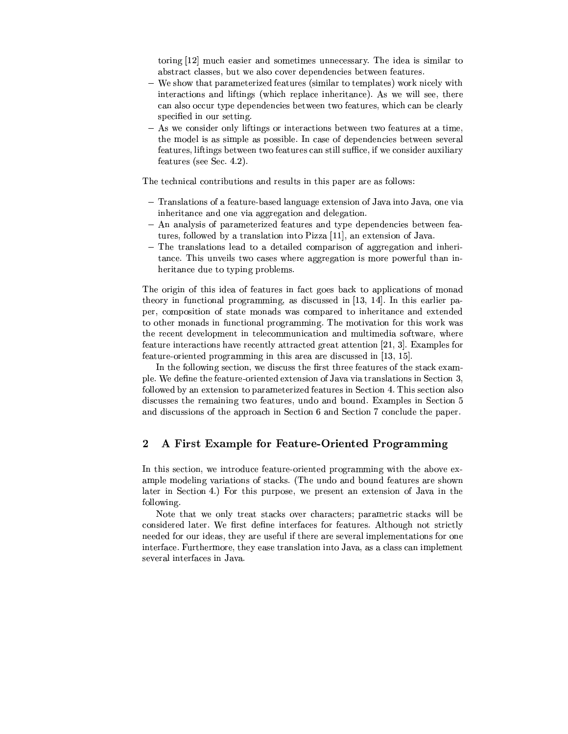toring [12] much easier and sometimes unnecessary. The idea is similar to abstract classes, but we also cover dependencies between features.

- We show that parameterized features (similar to templates) work nicely with interactions and liftings (which replace inheritance). As we will see, there can also occur type dependencies between two features, which can be clearly specified in our setting.
- As we consider only liftings or interactions between two features at a time, the model is as simple as possible. In case of dependencies between several features, liftings between two features can still suffice, if we consider auxiliary features (see Sec. 4.2).

The technical contributions and results in this paper are as follows:

- Translations of a feature-based language extension of Java into Java, one via inheritance and one via aggregation and delegation.
- An analysis of parameterized features and type dependencies between features, followed by a translation into Pizza [11], an extension of Java.
- The translations lead to a detailed comparison of aggregation and inheritance. This unveils two cases where aggregation is more powerful than inheritance due to typing problems.

The origin of this idea of features in fact goes back to applications of monad theory in functional programming, as discussed in [13, 14]. In this earlier paper, composition of state monads was compared to inheritance and extended to other monads in functional programming. The motivation for this work was the recent development in telecommunication and multimedia software, where feature interactions have recently attracted great attention [21, 3]. Examples for feature-oriented programming in this area are discussed in [13, 15].

In the following section, we discuss the first three features of the stack example. We define the feature-oriented extension of Java via translations in Section 3, followed by an extension to parameterized features in Section 4. This section also discusses the remaining two features, undo and bound. Examples in Section 5 and discussions of the approach in Section 6 and Section 7 conclude the paper.

# $\overline{2}$ A First Example for Feature-Oriented Programming

In this section, we introduce feature-oriented programming with the above example modeling variations of stacks. (The undo and bound features are shown later in Section 4.) For this purpose, we present an extension of Java in the following.

Note that we only treat stacks over characters; parametric stacks will be considered later. We first define interfaces for features. Although not strictly needed for our ideas, they are useful if there are several implementations for one interface. Furthermore, they ease translation into Java, as a class can implement several interfaces in Java.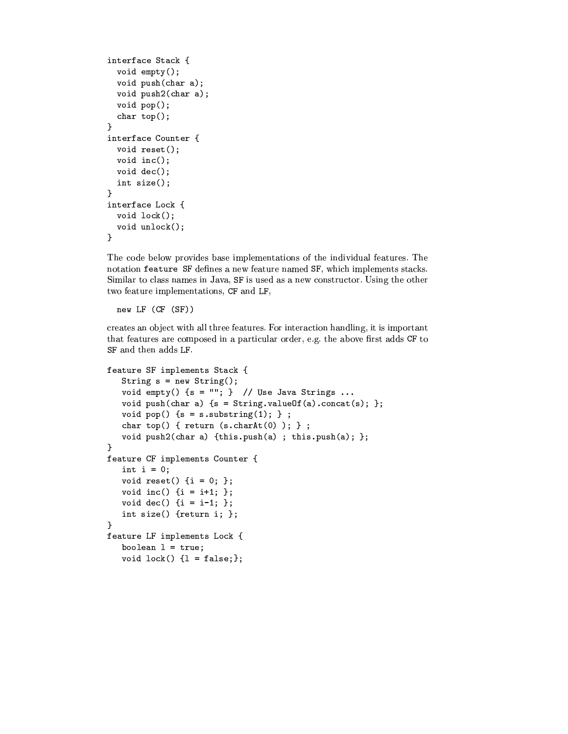```
interface Stack {
  void empty();
  void push(char a);
  void push2(char a);
  void pop();
  chartop();}
interface Counter {
  void reset();void inc();void dec();
  int size();
\mathbf{R}interface Lock {
  void lock();void unlock();
\mathcal{F}
```
The code below provides base implementations of the individual features. The notation feature SF defines a new feature named SF, which implements stacks. Similar to class names in Java, SF is used as a new constructor. Using the other two feature implementations, CF and LF,

new LF (CF (SF))

creates an object with all three features. For interaction handling, it is important that features are composed in a particular order, e.g. the above first adds CF to SF and then adds LF.

```
feature SF implements Stack {
   String s = new String();
   void empty() {s = ""; } // Use Java Strings ...
   void push(char a) \{s = String.valueOf(a).concat(s); \};
   void pop() {s = s. substring(1); } ;
   char top() { return (s.\text{chart}(0) ); } ;
   void push2(char a) {this.push(a) ; this.push(a); };
\mathcal{F}feature CF implements Counter {
   int i = 0;
   void reset() {i = 0; };
   void inc() {i = i+1; };
   void dec() {i = i-1; };
   int size() {return i;};
}
feature LF implements Lock {
   boolean 1 = true:
   void lock() {1 = false;};
```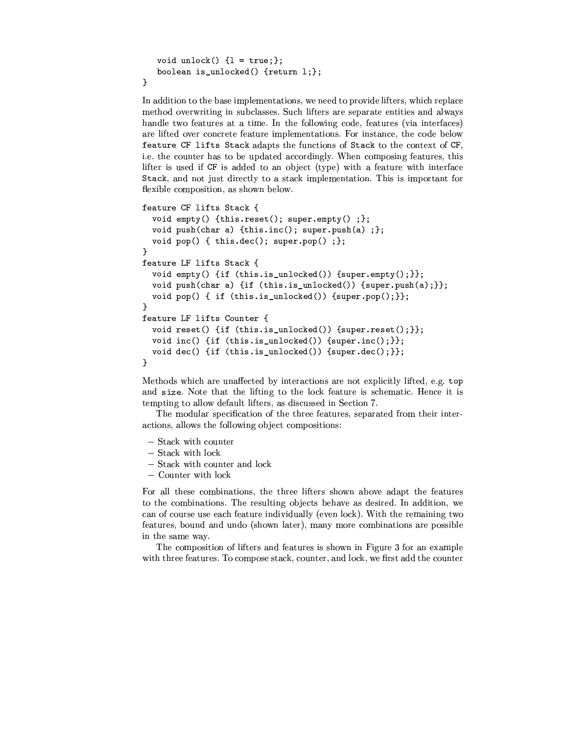```
void unlock() \{1 = true;\};
   boolean is_unlocked() {return 1;};
}
```
In addition to the base implementations, we need to provide lifters, which replace method overwriting in subclasses. Such lifters are separate entities and always handle two features at a time. In the following code, features (via interfaces) are lifted over concrete feature implementations. For instance, the code below feature CF lifts Stack adapts the functions of Stack to the context of CF, i.e. the counter has to be updated accordingly. When composing features, this lifter is used if CF is added to an object (type) with a feature with interface Stack, and not just directly to a stack implementation. This is important for flexible composition, as shown below.

```
feature CF lifts Stack {
 void empty() {this.reset(); super.empty();};
 void push(char a) {this.inc(); super.push(a) ;};
 void pop() { this.dec(); super.pop();};
<sup>}</sup>
feature LF lifts Stack {
 void empty() {if (this.is_unlocked()) {super.empty();}};
 void push(char a) {if (this.is_unlocked()) {super.push(a);}};
  void pop() { if (this.is_unlocked()) { super.pop(); } };
\mathbf{r}feature LF lifts Counter {
 void reset() {if (this.is_unlocked()) {super.reset();}};
 void inc() {if (this.is_unlocked()) {super.inc();}};
  void dec() {if (this.is_unlocked()) {super.dec();}};
}
```
Methods which are unaffected by interactions are not explicitly lifted, e.g. top and size. Note that the lifting to the lock feature is schematic. Hence it is tempting to allow default lifters, as discussed in Section 7.

The modular specification of the three features, separated from their interactions, allows the following object compositions:

- Stack with counter
- Stack with lock
- Stack with counter and lock
- Counter with lock

For all these combinations, the three lifters shown above adapt the features to the combinations. The resulting objects behave as desired. In addition, we can of course use each feature individually (even lock). With the remaining two features, bound and undo (shown later), many more combinations are possible in the same way.

The composition of lifters and features is shown in Figure 3 for an example with three features. To compose stack, counter, and lock, we first add the counter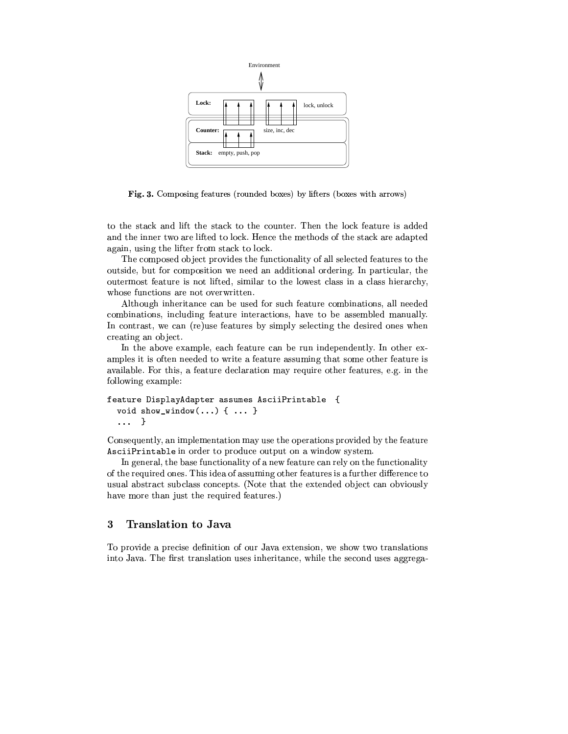

Fig. 3. Composing features (rounded boxes) by lifters (boxes with arrows)

to the stack and lift the stack to the counter. Then the lock feature is added and the inner two are lifted to lock. Hence the methods of the stack are adapted again, using the lifter from stack to lock.

The composed object provides the functionality of all selected features to the outside, but for composition we need an additional ordering. In particular, the outermost feature is not lifted, similar to the lowest class in a class hierarchy, whose functions are not overwritten.

Although inheritance can be used for such feature combinations, all needed combinations, including feature interactions, have to be assembled manually. In contrast, we can (re)use features by simply selecting the desired ones when creating an object.

In the above example, each feature can be run independently. In other examples it is often needed to write a feature assuming that some other feature is available. For this, a feature declaration may require other features, e.g. in the following example:

```
feature DisplayAdapter assumes AsciiPrintable {
  void show_window( \ldots ) { \ldots }
  \ldots }
```
Consequently, an implementation may use the operations provided by the feature AsciiPrintable in order to produce output on a window system.

In general, the base functionality of a new feature can rely on the functionality of the required ones. This idea of assuming other features is a further difference to usual abstract subclass concepts. (Note that the extended object can obviously have more than just the required features.)

# 3 Translation to Java

To provide a precise definition of our Java extension, we show two translations into Java. The first translation uses inheritance, while the second uses aggrega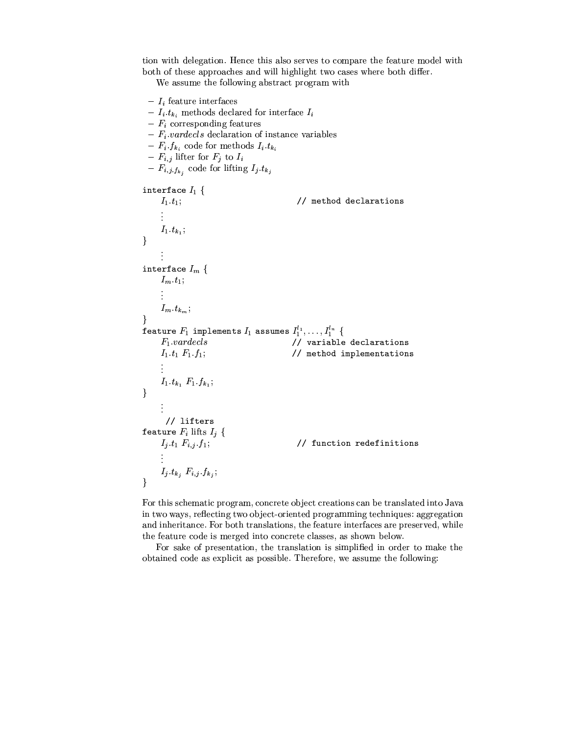tion with delegation. Hence this also serves to compare the feature model with both of these approaches and will highlight two cases where both differ.

We assume the following abstract program with

```
- I_i feature interfaces
```

```
- I_i \tcdot t_{k_i} methods declared for interface I_i-F_i corresponding features
  -F_i</math> vardecls declaration of instance variables- \mathcal{F}_{i}. \mathcal{f}_{k_{i}} code for methods \mathcal{I}_{i}. \mathcal{t}_{k_{i}}- F_{i,j} lifter for F_j to \mathcal{I}_i- F_{i,j} f_{k_i} code for lifting I_j t_{k_j}interface I_1 {
      I_1 t_1;
                                                    // method declarations
      \ddot{\phantom{a}}I_1.t_{k_1};\mathcal{E}interface I_m {
      I_m.t_1;÷
      I_m t_{k_m};
\}feature F_1 implements I_1 assumes I_1^{l_1}, \ldots, I_1^{l_n} {
                                                 // variable declarations
      F_1.vardedI_1, t_1, F_1, f_1;
                                                  // method implementations
      I_1 t_{k_1} F_1 f_{k_1};
\}// lifters
feature F_i lifts I_i {
      I_j.t_1 F_{i,j} f_1;// function redefinitions
      I_j.t_{k_j} F_{i,j} f_{k_j};\mathcal{F}
```
For this schematic program, concrete object creations can be translated into Java in two ways, reflecting two object-oriented programming techniques: aggregation and inheritance. For both translations, the feature interfaces are preserved, while the feature code is merged into concrete classes, as shown below.

For sake of presentation, the translation is simplified in order to make the obtained code as explicit as possible. Therefore, we assume the following: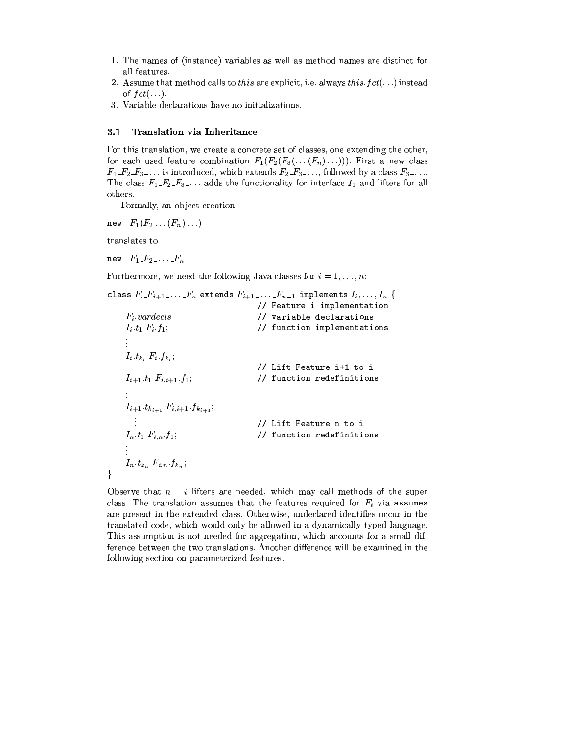- 1. The names of (instance) variables as well as method names are distinct for all features.
- 2. Assume that method calls to this are explicit, i.e. always this  $fct(\ldots)$  instead of  $fct$ ....
- 3. Variable declarations have no initializations.

#### $3.1$ **Translation via Inheritance**

For this translation, we create a concrete set of classes, one extending the other, for each used feature combination  $F_1(F_2(F_3(\ldots(F_n)\ldots)))$ . First a new class  $F_1 \_F_2 \_F_3 \_ \ldots$  is introduced, which extends  $F_2 \_F_3 \ldots$ , followed by a class  $F_3 \ldots$ . The class  $F_1 \_ F2 \_ F_3 \_ \dots$  adds the functionality for interface  $I_1$  and lifters for all others.

Formally, an object creation

new  $F_1(F_2 \ldots (F_n) \ldots)$ 

translates to

new  $F_1.F_2 \ldots .F_n$ 

Furthermore, we need the following Java classes for  $i = 1, ..., n$ :

```
class F_i<sub>-F_{i+1}-\ldots-F_n extends F_{i+1}-\ldots-F_{n-1} implements I_i, \ldots, I_n {</sub>
                                           // Feature i implementation
     F_i.vardecls
                                           // variable declarations
     I_i.t_1 F_i f_1;// function implementations
     I_i t_{k_i} F_i f_{k_i};
                                            // Lift Feature i+1 to i
     I_{i+1} t_1 F_{i,i+1} f_1;
                                            // function redefinitions
     I_{i+1} t_{k_{i+1}} F_{i,i+1} f_{k_{i+1}};
                                           // Lift Feature n to i
     I_n.t_1 F_{i,n}.f_1;// function redefinitions
     I_n.t_{k_n} F_{i,n}.f_{k_n};\mathcal{E}
```
Observe that  $n - i$  lifters are needed, which may call methods of the super class. The translation assumes that the features required for  $F_i$  via assumes are present in the extended class. Otherwise, undeclared identifies occur in the translated code, which would only be allowed in a dynamically typed language. This assumption is not needed for aggregation, which accounts for a small difference between the two translations. Another difference will be examined in the following section on parameterized features.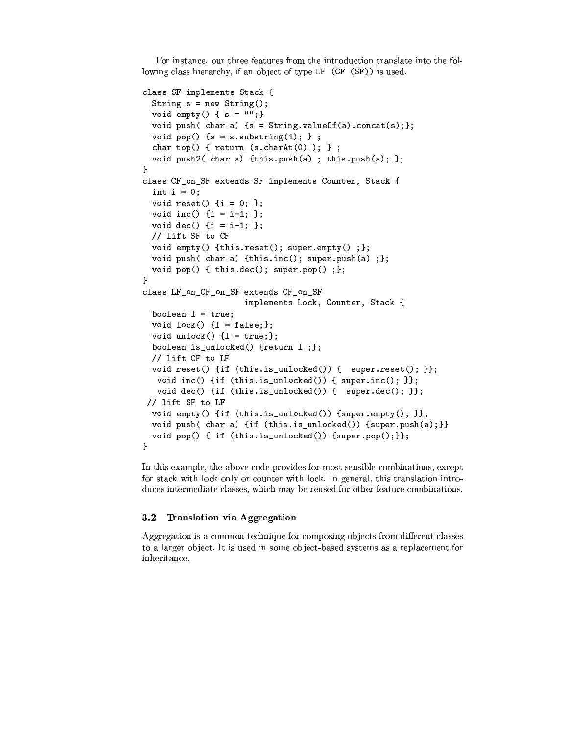For instance, our three features from the introduction translate into the following class hierarchy, if an object of type LF (CF (SF)) is used.

```
class SF implements Stack {
 String s = new String();
 void empty() { s = "";}
 void push( char a) \{s = String.valueOf(a) .concat(s); \};
 void pop() {s = s. substring(1); } ;
 char top() { return (s.\text{charAt}(0)); };
 void push2(char a) {this.push(a); this.push(a); };
\mathbf{r}class CF_on_SF extends SF implements Counter, Stack {
  int i = 0;
 void reset() \{i = 0; \};
 void inc() {i = i+1; };
 void dec() {i = i-1; };
 // lift SF to CF
 void empty() {this.reset(); super.empty();};
 void push(char a) \{this.inc(); super.push(a) ;\};void pop() { this.dec(); super.pop();};
}
class LF_on_CF_on_SF extends CF_on_SF
                    implements Lock, Counter, Stack {
 boolean 1 = true;void lock() {1 = false;};
 void unlock() \{1 = true;\};
 boolean is_unlocked() {return 1;};
 // lift CF to LFvoid reset() {if (this.is_unlocked()) { super.reset(); } };
  void inc() {if (this.is_unlocked()) { super.inc(); } };
  // lift SF to LF
 void empty() {if (this.is_unlocked()) {super.empty(); }};
 void push( char a) {if (this.is_unlocked()) {super.push(a);}}
 void pop() { if (this.is_unlocked()) {super.pop(); } };
}
```
In this example, the above code provides for most sensible combinations, except for stack with lock only or counter with lock. In general, this translation introduces intermediate classes, which may be reused for other feature combinations.

#### Translation via Aggregation  $3.2$

Aggregation is a common technique for composing objects from different classes to a larger object. It is used in some object-based systems as a replacement for inheritance.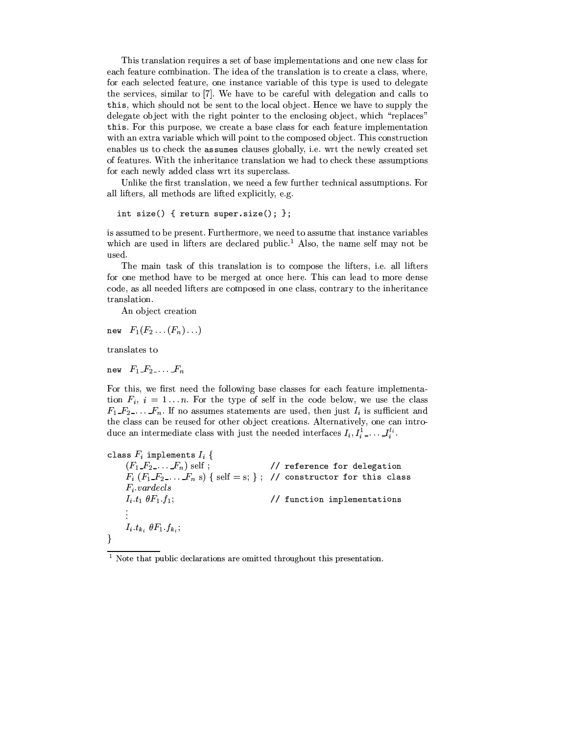This translation requires a set of base implementations and one new class for each feature combination. The idea of the translation is to create a class, where, for each selected feature, one instance variable of this type is used to delegate the services, similar to [7]. We have to be careful with delegation and calls to this, which should not be sent to the local object. Hence we have to supply the delegate object with the right pointer to the enclosing object, which "replaces" this. For this purpose, we create a base class for each feature implementation with an extra variable which will point to the composed object. This construction enables us to check the assumes clauses globally, i.e. wrt the newly created set of features. With the inheritance translation we had to check these assumptions for each newly added class wrt its superclass.

Unlike the first translation, we need a few further technical assumptions. For all lifters, all methods are lifted explicitly, e.g.

```
int size() { return super.size(); };
```
is assumed to be present. Furthermore, we need to assume that instance variables which are used in lifters are declared public.<sup>1</sup> Also, the name self may not be used.

The main task of this translation is to compose the lifters, i.e. all lifters for one method have to be merged at once here. This can lead to more dense code, as all needed lifters are composed in one class, contrary to the inheritance translation.

An object creation

new  $F_1(F_2 \dots (F_n) \dots)$ 

translates to

new  $F_1.F_2 \ldots .F_n$ 

For this, we first need the following base classes for each feature implementation  $F_i$ ,  $i = 1...n$ . For the type of self in the code below, we use the class  $F_1.F_2 \ldots F_n$ . If no assumes statements are used, then just  $I_i$  is sufficient and the class can be reused for other object creations. Alternatively, one can introduce an intermediate class with just the needed interfaces  $I_i, I_i^1, \ldots, I_i^{l_i}$ .

class  $F_i$  implements  $I_i$  {  $(F_1 \_F_2 \ldots \_F_n)$  self; // reference for delegation  $F_i$   $(F_1.F_2...F_n s)$  { self = s; }; // constructor for this class  $F_i$ .vardecls // function implementations  $I_i$   $t_1$   $\theta F_1$   $f_1$ ;  $I_i \tcdot t_{k_i} \theta F_1 \tcdot f_{k_i};$ 

 $<sup>1</sup>$  Note that public declarations are omitted throughout this presentation.</sup>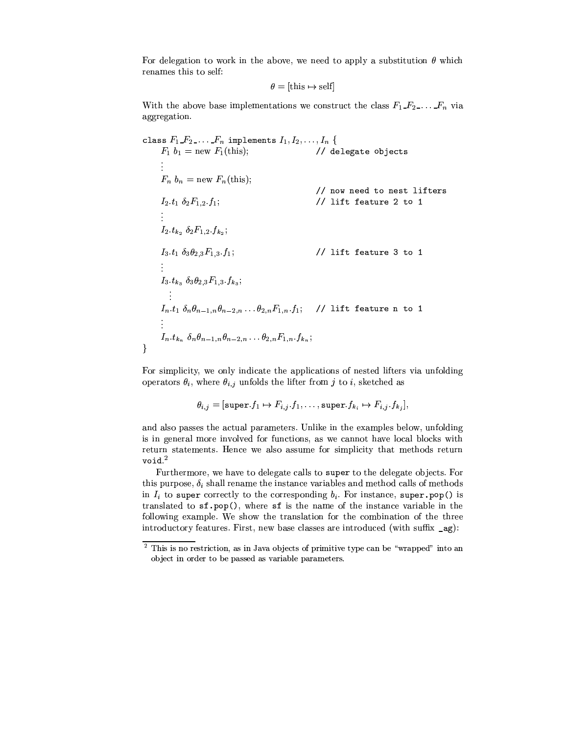For delegation to work in the above, we need to apply a substitution  $\theta$  which renames this to self:

$$
\theta = [\text{this} \mapsto \text{self}]
$$

With the above base implementations we construct the class  $F_1 \_F_2 \_ \ldots \_F_n$  via aggregation.

class 
$$
F_1.F_2...F_n
$$
 implements  $I_1, I_2,..., I_n$  {  
\n $F_1 b_1 = new F_1$ (this); // delegate objects  
\n:  
\n $F_n b_n = new F_n$ (this); // now need to nest lifters  
\n $I_2.t_1 \delta_2 F_{1,2}.f_1;$  // lift feature 2 to 1  
\n:  
\n $I_2.t_{k_2} \delta_2 F_{1,2}.f_{k_2};$   
\n $I_3.t_1 \delta_3 \theta_{2,3} F_{1,3}.f_1;$  // lift feature 3 to 1  
\n:  
\n $I_3.t_{k_3} \delta_3 \theta_{2,3} F_{1,3}.f_{k_3};$   
\n:  
\n $I_n.t_1 \delta_n \theta_{n-1,n} \theta_{n-2,n} ... \theta_{2,n} F_{1,n}.f_1;$  // lift feature n to 1  
\n:  
\n $I_n.t_{k_n} \delta_n \theta_{n-1,n} \theta_{n-2,n} ... \theta_{2,n} F_{1,n}.f_{k_n};$ 

For simplicity, we only indicate the applications of nested lifters via unfolding operators  $\theta_i$ , where  $\theta_{i,j}$  unfolds the lifter from j to i, sketched as

$$
\theta_{i,j} = [\text{super}.f_1 \mapsto F_{i,j}.f_1,\ldots,\text{super}.f_k, \mapsto F_{i,j}.f_k].
$$

and also passes the actual parameters. Unlike in the examples below, unfolding is in general more involved for functions, as we cannot have local blocks with return statements. Hence we also assume for simplicity that methods return  $void.<sup>2</sup>$ 

Furthermore, we have to delegate calls to super to the delegate objects. For this purpose,  $\delta_i$  shall rename the instance variables and method calls of methods in  $I_i$  to super correctly to the corresponding  $b_i$ . For instance, super.pop() is translated to sf. pop(), where sf is the name of the instance variable in the following example. We show the translation for the combination of the three introductory features. First, new base classes are introduced (with suffix \_ag):

<sup>&</sup>lt;sup>2</sup> This is no restriction, as in Java objects of primitive type can be "wrapped" into an object in order to be passed as variable parameters.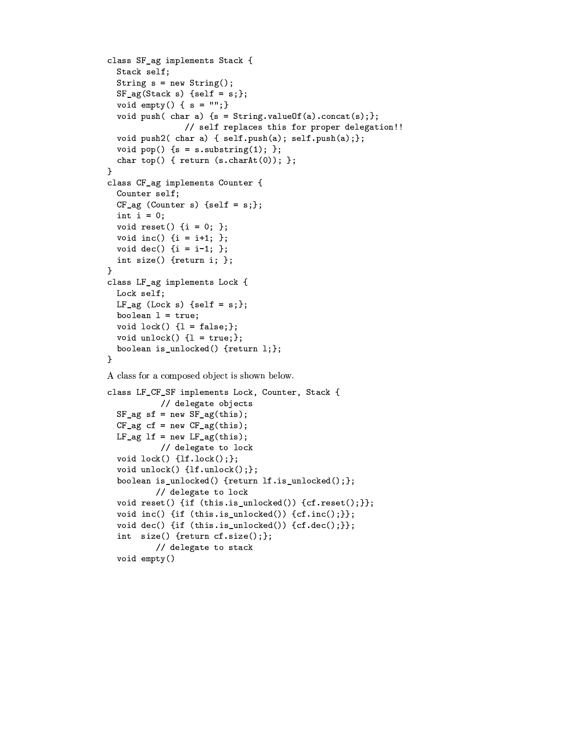```
class SF_ag implements Stack {
  Stack self;
  String s = new String();
  SF_ag(Stack s) {self = s;};void empty() { s = "";}
  void push( char a) \{s = String.valueOf(a).concat(s); \};
                 // self replaces this for proper delegation!!
  void push2( char a) { self.push(a); self.push(a); };
  void pop() \{s = s.\text{substring}(1); \};
  char top() { return (s.\text{chart}(0)); };
}
class CF_ag implements Counter {
  Counter self:
  CF_ag (Counter s) {self = s;};
  int i = 0;
  void reset() \{i = 0; \};
  void inc() {i = i+1; };
  void dec() {i = i-1; };
 int size() {return i;};
}
class LF_ag implements Lock {
 Lock self:
 LF_ag (Lock s) {self = s;};
 boolean 1 = true;void lock() {1 = false;};
  void \text{unlock}() {1 = \text{true};};
 boolean is_unlocked() \{return 1;\};
Y
A class for a composed object is shown below.
class LF_CF_SF implements Lock, Counter, Stack {
           // delegate objects
  SF_ag sf = new SF_ag(this);
  CF\_\,ag\ cf = new CF\_\,ag(this);LF_ag lf = new LF_ag(this);
           // delegate to lock
  void lock() {If.lock();};void \text{unlock}() \{1f.\text{unlock}();\};
 boolean is_unlocked() {return lf.is_unlocked();};
          // delegate to lock
  void reset() {if (this.is_unlocked()) {cf.reset();}};
  void inc() {if (this.is_unlocked()) {cf.inc();}};
  void dec() {if (this.is_unlocked()) {cf.dec();}};
  int size() {return cf.size();};
          // delegate to stack
  void empty()
```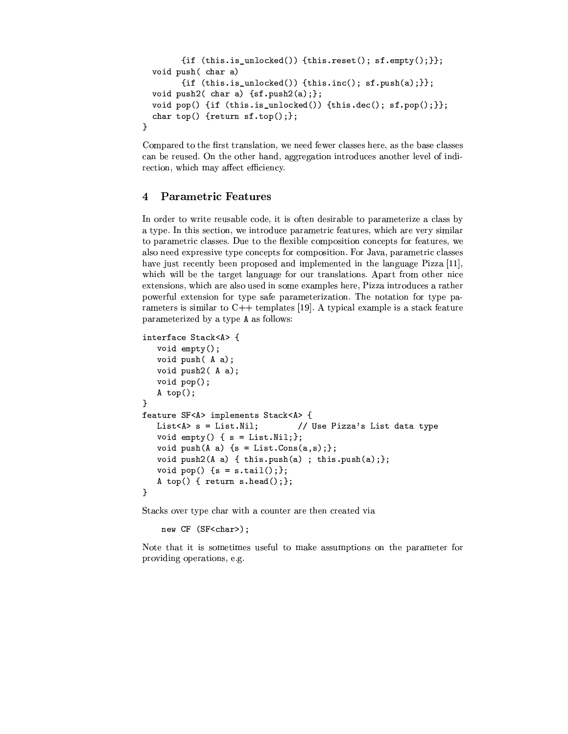```
{if (this.is_unlocked()) {this.reset(); sf.empty();}};
 void push(char a)
        {if (this.is_unlocked()) {this.inc(); sf.push(a);}};
 void push2(char a) \{sf.cnum2(a);\};
 void pop() {if (this.is_unlocked()) {this.dec(); sf.pop(); }};
  char top() {return sf.top();};
}
```
Compared to the first translation, we need fewer classes here, as the base classes can be reused. On the other hand, aggregation introduces another level of indirection, which may affect efficiency.

# **Parametric Features** 4

In order to write reusable code, it is often desirable to parameterize a class by a type. In this section, we introduce parametric features, which are very similar to parametric classes. Due to the flexible composition concepts for features, we also need expressive type concepts for composition. For Java, parametric classes have just recently been proposed and implemented in the language Pizza [11], which will be the target language for our translations. Apart from other nice extensions, which are also used in some examples here, Pizza introduces a rather powerful extension for type safe parameterization. The notation for type parameters is similar to  $C++$  templates [19]. A typical example is a stack feature parameterized by a type A as follows:

```
interface Stack<A> {
   void empty();
   void push(A a):
   void push2(Aa);void pop();
   A top();
\mathbf{r}feature SF<A> implements Stack<A> {
   List<A> s = List.Nil;// Use Pizza's List data type
   void empty() { s = List.Nil; };
   void push(A a) {s = List. Cons(a,s);};
   void push2(A \ a) \ \{ \ this.push(a) \ ; \ this.push(a); \};
   void pop() \{s = s.tail();\};A top() { return s.head();};
\mathcal{F}
```
Stacks over type char with a counter are then created via

```
new CF (SF<char>);
```
Note that it is sometimes useful to make assumptions on the parameter for providing operations, e.g.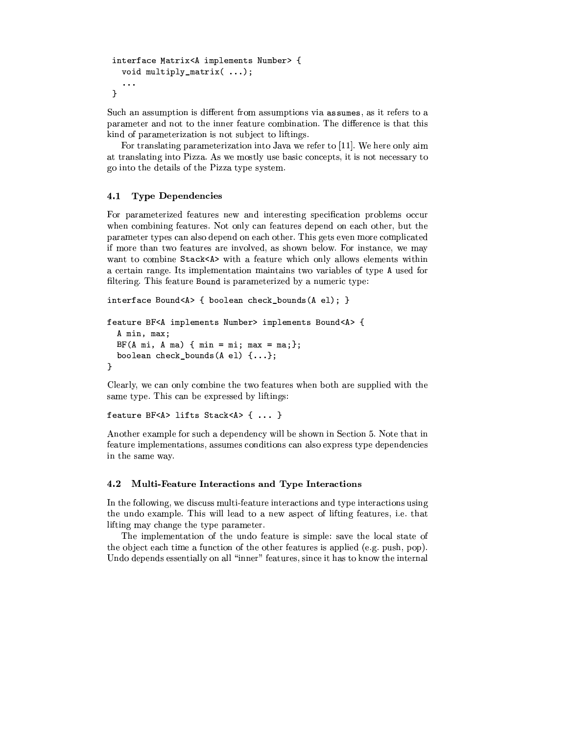```
interface Matrix<A implements Number> {
  void multiply_matrix( ...);
  \ddotsc\mathbf{r}
```
Such an assumption is different from assumptions via assumes, as it refers to a parameter and not to the inner feature combination. The difference is that this kind of parameterization is not subject to liftings.

For translating parameterization into Java we refer to  $[11]$ . We here only aim at translating into Pizza. As we mostly use basic concepts, it is not necessary to go into the details of the Pizza type system.

# **Type Dependencies**  $4.1$

For parameterized features new and interesting specification problems occur when combining features. Not only can features depend on each other, but the parameter types can also depend on each other. This gets even more complicated if more than two features are involved, as shown below. For instance, we may want to combine Stack<A> with a feature which only allows elements within a certain range. Its implementation maintains two variables of type A used for filtering. This feature Bound is parameterized by a numeric type:

```
interface Bound<A> { boolean check_bounds(A el); }
```

```
feature BF<A implements Number> implements Bound<A> {
  A min, max;
  BF(A \text{ mi}, A \text{ ma}) { min = mi; max = ma; };
  boolean check_bounds(A el) \{ \ldots \};\mathbf{R}
```
Clearly, we can only combine the two features when both are supplied with the same type. This can be expressed by liftings:

```
feature BF<A> lifts Stack<A> { ... }
```
Another example for such a dependency will be shown in Section 5. Note that in feature implementations, assumes conditions can also express type dependencies in the same way.

#### 4.2 Multi-Feature Interactions and Type Interactions

In the following, we discuss multi-feature interactions and type interactions using the undo example. This will lead to a new aspect of lifting features, i.e. that lifting may change the type parameter.

The implementation of the undo feature is simple: save the local state of the object each time a function of the other features is applied (e.g. push, pop). Undo depends essentially on all "inner" features, since it has to know the internal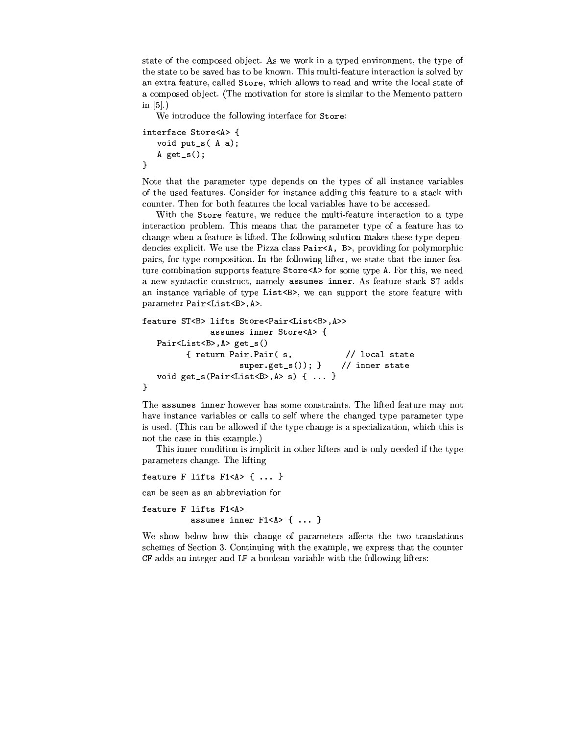state of the composed object. As we work in a typed environment, the type of the state to be saved has to be known. This multi-feature interaction is solved by an extra feature, called Store, which allows to read and write the local state of a composed object. (The motivation for store is similar to the Memento pattern in  $[5]$ .)

We introduce the following interface for Store:

```
interface Store<A> {
   void put_s(A a);
   A get_s();
\mathcal{F}
```
Note that the parameter type depends on the types of all instance variables of the used features. Consider for instance adding this feature to a stack with counter. Then for both features the local variables have to be accessed.

With the Store feature, we reduce the multi-feature interaction to a type interaction problem. This means that the parameter type of a feature has to change when a feature is lifted. The following solution makes these type dependencies explicit. We use the Pizza class Pair <A, B>, providing for polymorphic pairs, for type composition. In the following lifter, we state that the inner feature combination supports feature Store<A> for some type A. For this, we need a new syntactic construct, namely assumes inner. As feature stack ST adds an instance variable of type List <B>, we can support the store feature with parameter Pair<List<B>, A>.

```
feature ST<B> lifts Store<Pair<List<B>,A>>
               assumes inner Store<A> {
   Pair<List<B>, A> get_s()
         { return Pair. Pair (s,
                                            // local state
                     super.get_s(); }
                                           // inner state
   void get_s(Pair<List<B>,A> s) { ... }
\mathcal{F}
```
The assumes inner however has some constraints. The lifted feature may not have instance variables or calls to self where the changed type parameter type is used. (This can be allowed if the type change is a specialization, which this is not the case in this example.)

This inner condition is implicit in other lifters and is only needed if the type parameters change. The lifting

feature F lifts  $F1 < A > \{ \ldots \}$ 

can be seen as an abbreviation for

```
feature F lifts F1<A>
          assumes inner F1<A> { ... }
```
We show below how this change of parameters affects the two translations schemes of Section 3. Continuing with the example, we express that the counter CF adds an integer and LF a boolean variable with the following lifters: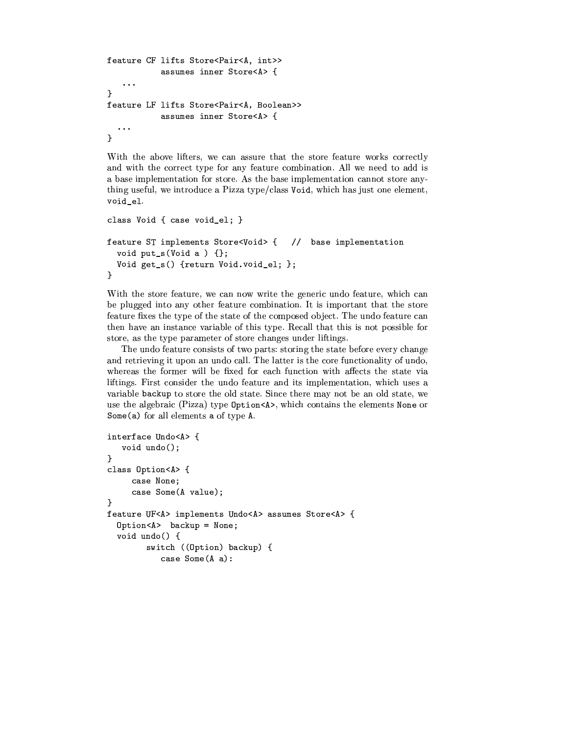```
feature CF lifts Store<Pair<A, int>>
           assumes inner Store<A> {
   \ddotsc}
feature LF lifts Store<Pair<A, Boolean>>
           assumes inner Store<A> {
  \cdots}
```
With the above lifters, we can assure that the store feature works correctly and with the correct type for any feature combination. All we need to add is a base implementation for store. As the base implementation cannot store anything useful, we introduce a Pizza type/class Void, which has just one element, void el.

```
class Void { case void_el; }
feature ST implements Store<Void> { // base implementation
  void put_s(Void a ) \{\};
  Void get_s() {return Void.void_el; };
\mathbf{r}
```
With the store feature, we can now write the generic undo feature, which can be plugged into any other feature combination. It is important that the store feature fixes the type of the state of the composed object. The undo feature can then have an instance variable of this type. Recall that this is not possible for store, as the type parameter of store changes under liftings.

The undo feature consists of two parts: storing the state before every change and retrieving it upon an undo call. The latter is the core functionality of undo, whereas the former will be fixed for each function with affects the state via liftings. First consider the undo feature and its implementation, which uses a variable backup to store the old state. Since there may not be an old state, we use the algebraic (Pizza) type Option<A>, which contains the elements None or Some $(a)$  for all elements a of type A.

```
interface Undo<A> {
   void undo();
\mathbf{\}class Option<A> {
     case None;
     case Some(A value);
}
feature UF<A> implements Undo<A> assumes Store<A> {
  0ption <b>A</b> backup = None;
  void undo() {
        switch ((Option) backup) {
           case Some(A a):
```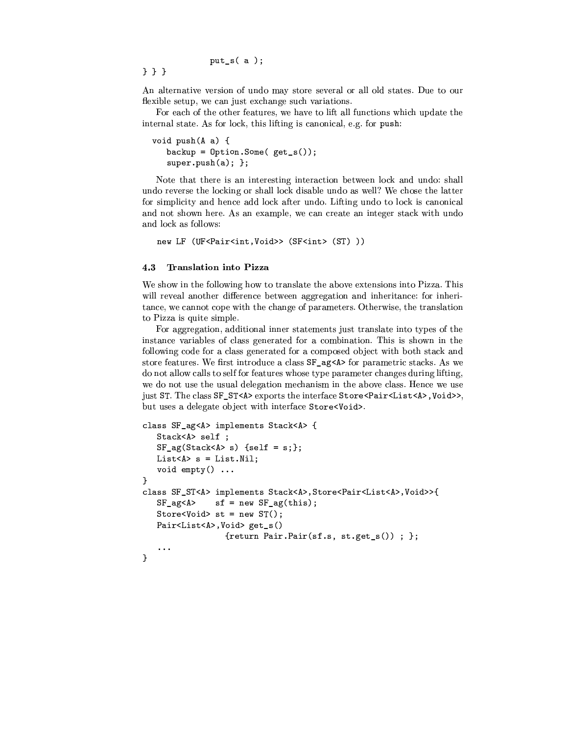$} 3 3 3$ 

An alternative version of undo may store several or all old states. Due to our flexible setup, we can just exchange such variations.

For each of the other features, we have to lift all functions which update the internal state. As for lock, this lifting is canonical, e.g. for push:

```
void push(A \ a) \ f\texttt{backup} = 0ption. Some(get_s());
   super.push(a);};
```
 $put_s( a);$ 

Note that there is an interesting interaction between lock and undo: shall undo reverse the locking or shall lock disable undo as well? We chose the latter for simplicity and hence add lock after undo. Lifting undo to lock is canonical and not shown here. As an example, we can create an integer stack with undo and lock as follows:

```
new LF (UF<Pair<int, Void>> (SF<int> (ST) ))
```
#### Translation into Pizza 4.3

We show in the following how to translate the above extensions into Pizza. This will reveal another difference between aggregation and inheritance: for inheritance, we cannot cope with the change of parameters. Otherwise, the translation to Pizza is quite simple.

For aggregation, additional inner statements just translate into types of the instance variables of class generated for a combination. This is shown in the following code for a class generated for a composed object with both stack and store features. We first introduce a class SF\_ag<A> for parametric stacks. As we do not allow calls to self for features whose type parameter changes during lifting, we do not use the usual delegation mechanism in the above class. Hence we use just ST. The class SF\_ST<A> exports the interface Store<Pair<List<A>,Void>>, but uses a delegate object with interface Store<Void>.

```
class SF_ag<A> implements Stack<A> {
   Stack < A > self;
   SF_ag(Stack <b>A</b> > s) {self = s;};List<A>s = List.Nil;void empty() ...
}
class SF_ST<A> implements Stack<A>, Store<Pair<List<A>, Void>>{
   SF_ag<sub>A</sub>sf = new SF-ag(this);Store<Void> st = new ST();
   Pair<List<A>, Void> get_s()
                  {return Pair.Pair(sf.s, st.get_s()); };
}
```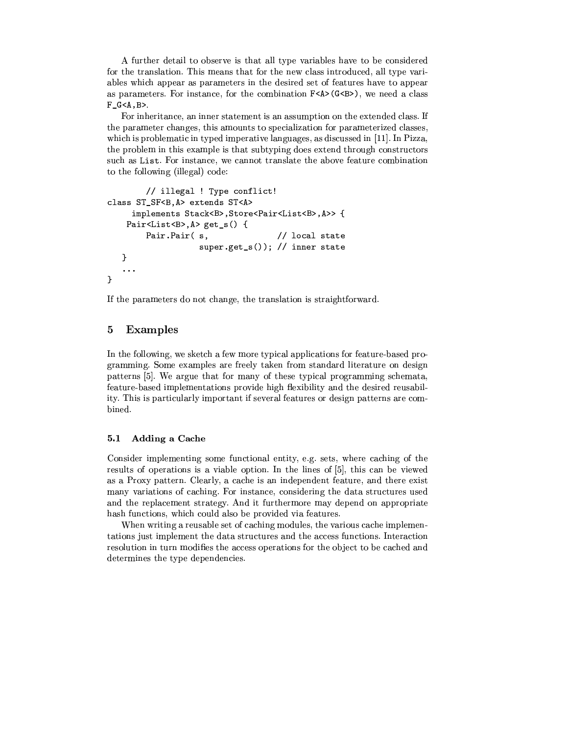A further detail to observe is that all type variables have to be considered for the translation. This means that for the new class introduced, all type variables which appear as parameters in the desired set of features have to appear as parameters. For instance, for the combination F<A>(G<B>), we need a class  $F_G < A$ , B>.

For inheritance, an inner statement is an assumption on the extended class. If the parameter changes, this amounts to specialization for parameterized classes, which is problematic in typed imperative languages, as discussed in [11]. In Pizza, the problem in this example is that subtyping does extend through constructors such as List. For instance, we cannot translate the above feature combination to the following (illegal) code:

```
// illegal ! Type conflict!
class ST_SF<B, A> extends ST<A>
     implements Stack<B>, Store<Pair<List<B>, A>> {
    Pair<List<B>, A> get_s() {
         Pair.Pair(s,
                                        // local state
                     super.get_s(); // inner state
   }
    \sim \sim\boldsymbol{\}}
```
If the parameters do not change, the translation is straightforward.

# $\overline{5}$ **Examples**

In the following, we sketch a few more typical applications for feature-based programming. Some examples are freely taken from standard literature on design patterns [5]. We argue that for many of these typical programming schemata, feature-based implementations provide high flexibility and the desired reusability. This is particularly important if several features or design patterns are combined.

# $5.1$ Adding a Cache

Consider implementing some functional entity, e.g. sets, where caching of the results of operations is a viable option. In the lines of [5], this can be viewed as a Proxy pattern. Clearly, a cache is an independent feature, and there exist many variations of caching. For instance, considering the data structures used and the replacement strategy. And it furthermore may depend on appropriate hash functions, which could also be provided via features.

When writing a reusable set of caching modules, the various cache implementations just implement the data structures and the access functions. Interaction resolution in turn modifies the access operations for the object to be cached and determines the type dependencies.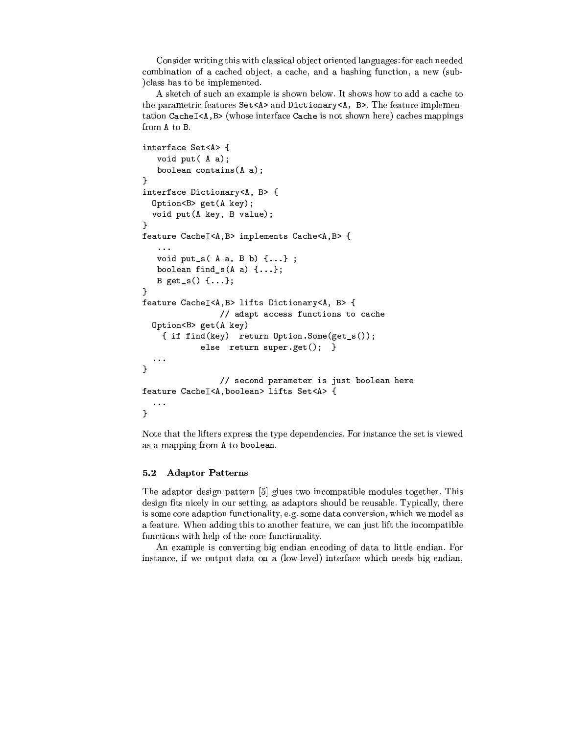Consider writing this with classical object oriented languages: for each needed combination of a cached object, a cache, and a hashing function, a new (subclass has to be implemented.

A sketch of such an example is shown below. It shows how to add a cache to the parametric features Set<A> and Dictionary<A, B>. The feature implementation CacheI<A, B> (whose interface Cache is not shown here) caches mappings from A to B.

```
interface Set<A> {
   void put(A a);boolean contains(A, a);
}
interface Dictionary<A, B> {
  Option<B> get(A key);
  void put (A key, B value);
\mathbf{r}feature CacheI<A, B> implements Cache<A, B> {
   \overline{1} , \overline{1}void put_s(A a, B b) \{ \ldots \};
   boolean find_s(A \ a) \ \{ \ldots \};B get_s() \{... \};
}
feature CacheI<A, B> lifts Dictionary<A, B> {
                  // adapt access functions to cache
  Option<B> get(A key)
    { if find(key) return Option. Some(get_s());
             else return super.get(); }
  \sim 10 .
\mathcal{F}// second parameter is just boolean here
feature CacheI<A, boolean> lifts Set<A> {
\mathbf{r}
```
Note that the lifters express the type dependencies. For instance the set is viewed as a mapping from A to boolean.

#### $5.2$ **Adaptor Patterns**

The adaptor design pattern [5] glues two incompatible modules together. This design fits nicely in our setting, as adaptors should be reusable. Typically, there is some core adaption functionality, e.g. some data conversion, which we model as a feature. When adding this to another feature, we can just lift the incompatible functions with help of the core functionality.

An example is converting big endian encoding of data to little endian. For instance, if we output data on a (low-level) interface which needs big endian,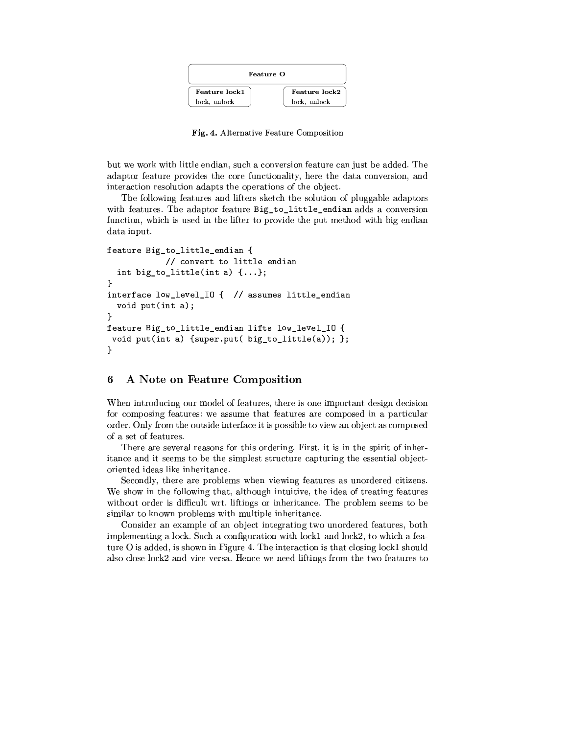

Fig. 4. Alternative Feature Composition

but we work with little endian, such a conversion feature can just be added. The adaptor feature provides the core functionality, here the data conversion, and interaction resolution adapts the operations of the object.

The following features and lifters sketch the solution of pluggable adaptors with features. The adaptor feature Big\_to\_little\_endian adds a conversion function, which is used in the lifter to provide the put method with big endian data input.

```
feature Big_to_little_endian {
            // convert to little endian
 int big_to_little(int a) {...};
ŀ
interface low_level_IO { // assumes little_endian
  void put(int a);}
feature Big_to_little_endian lifts low_level_IO {
void put(int a) {super.put( big_to_little(a)); };
}
```
# A Note on Feature Composition 6

When introducing our model of features, there is one important design decision for composing features: we assume that features are composed in a particular order. Only from the outside interface it is possible to view an object as composed of a set of features.

There are several reasons for this ordering. First, it is in the spirit of inheritance and it seems to be the simplest structure capturing the essential objectoriented ideas like inheritance.

Secondly, there are problems when viewing features as unordered citizens. We show in the following that, although intuitive, the idea of treating features without order is difficult wrt. liftings or inheritance. The problem seems to be similar to known problems with multiple inheritance.

Consider an example of an object integrating two unordered features, both implementing a lock. Such a configuration with lock1 and lock2, to which a feature O is added, is shown in Figure 4. The interaction is that closing lock1 should also close lock2 and vice versa. Hence we need liftings from the two features to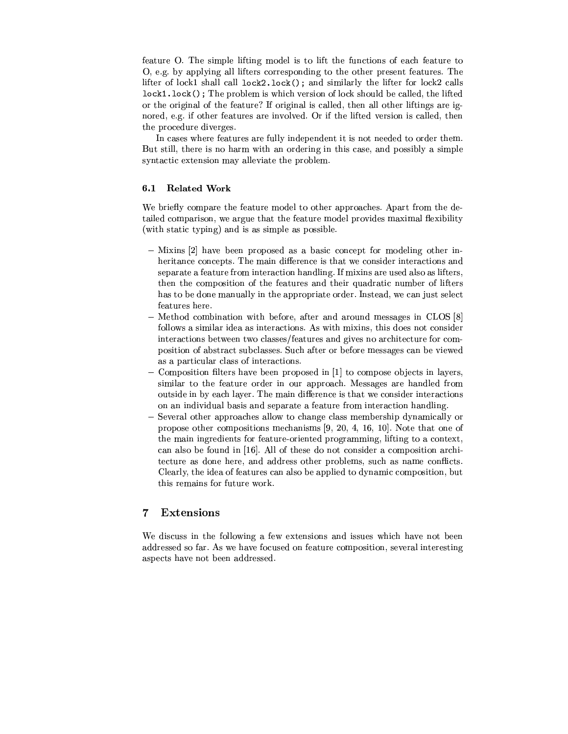feature O. The simple lifting model is to lift the functions of each feature to O, e.g. by applying all lifters corresponding to the other present features. The lifter of lock1 shall call  $lock2$ . lock(); and similarly the lifter for lock2 calls lock1.lock(); The problem is which version of lock should be called, the lifted or the original of the feature? If original is called, then all other liftings are ignored, e.g. if other features are involved. Or if the lifted version is called, then the procedure diverges.

In cases where features are fully independent it is not needed to order them. But still, there is no harm with an ordering in this case, and possibly a simple syntactic extension may alleviate the problem.

#### **Related Work**  $6.1$

We briefly compare the feature model to other approaches. Apart from the detailed comparison, we argue that the feature model provides maximal flexibility (with static typing) and is as simple as possible.

- Mixins [2] have been proposed as a basic concept for modeling other inheritance concepts. The main difference is that we consider interactions and separate a feature from interaction handling. If mixins are used also as lifters, then the composition of the features and their quadratic number of lifters has to be done manually in the appropriate order. Instead, we can just select features here.
- Method combination with before, after and around messages in CLOS [8] follows a similar idea as interactions. As with mixins, this does not consider interactions between two classes/features and gives no architecture for composition of abstract subclasses. Such after or before messages can be viewed as a particular class of interactions.
- Composition filters have been proposed in [1] to compose objects in layers,  $\equiv$ similar to the feature order in our approach. Messages are handled from outside in by each layer. The main difference is that we consider interactions on an individual basis and separate a feature from interaction handling.
- $\equiv$ Several other approaches allow to change class membership dynamically or propose other compositions mechanisms  $[9, 20, 4, 16, 10]$ . Note that one of the main ingredients for feature-oriented programming, lifting to a context, can also be found in [16]. All of these do not consider a composition architecture as done here, and address other problems, such as name conflicts. Clearly, the idea of features can also be applied to dynamic composition, but this remains for future work.

# $\overline{7}$ Extensions

We discuss in the following a few extensions and issues which have not been addressed so far. As we have focused on feature composition, several interesting aspects have not been addressed.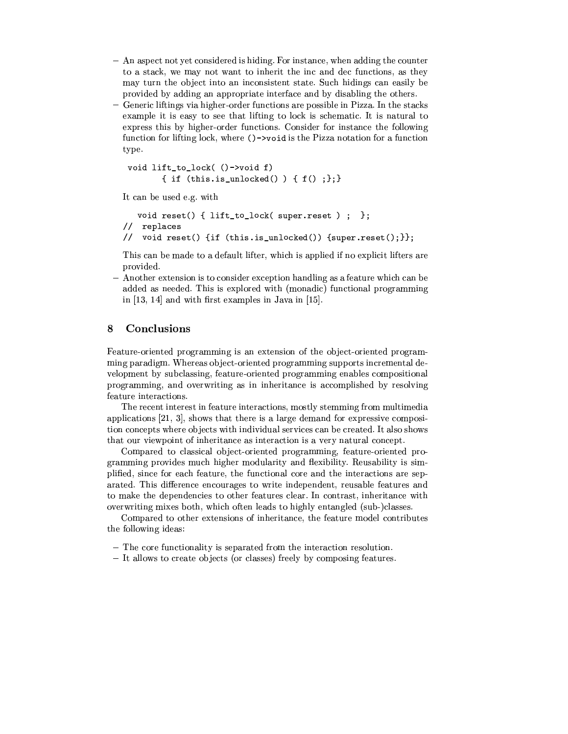- $-$  An aspect not yet considered is hiding. For instance, when adding the counter to a stack, we may not want to inherit the inc and dec functions, as they may turn the object into an inconsistent state. Such hidings can easily be provided by adding an appropriate interface and by disabling the others.
- Generic liftings via higher-order functions are possible in Pizza. In the stacks example it is easy to see that lifting to lock is schematic. It is natural to express this by higher-order functions. Consider for instance the following function for lifting lock, where ()->void is the Pizza notation for a function type.

```
void lift_to_lock(()->void f)
       { if (this.is_unlocked() ) { f() ; }; }
```
It can be used e.g. with

```
void reset() { lift_to_loss(superreset); };
// replaces
// void reset() {if (this.is unlocked()) {super.reset();}};
```
This can be made to a default lifter, which is applied if no explicit lifters are provided.

- Another extension is to consider exception handling as a feature which can be added as needed. This is explored with (monadic) functional programming in  $[13, 14]$  and with first examples in Java in  $[15]$ .

# 8 Conclusions

Feature-oriented programming is an extension of the object-oriented programming paradigm. Whereas object-oriented programming supports incremental development by subclassing, feature-oriented programming enables compositional programming, and overwriting as in inheritance is accomplished by resolving feature interactions.

The recent interest in feature interactions, mostly stemming from multimedia applications  $[21, 3]$ , shows that there is a large demand for expressive composition concepts where objects with individual services can be created. It also shows that our viewpoint of inheritance as interaction is a very natural concept.

Compared to classical object-oriented programming, feature-oriented programming provides much higher modularity and flexibility. Reusability is simplified, since for each feature, the functional core and the interactions are separated. This difference encourages to write independent, reusable features and to make the dependencies to other features clear. In contrast, inheritance with overwriting mixes both, which often leads to highly entangled (sub-)classes.

Compared to other extensions of inheritance, the feature model contributes the following ideas:

- $-$  The core functionality is separated from the interaction resolution.
- It allows to create objects (or classes) freely by composing features.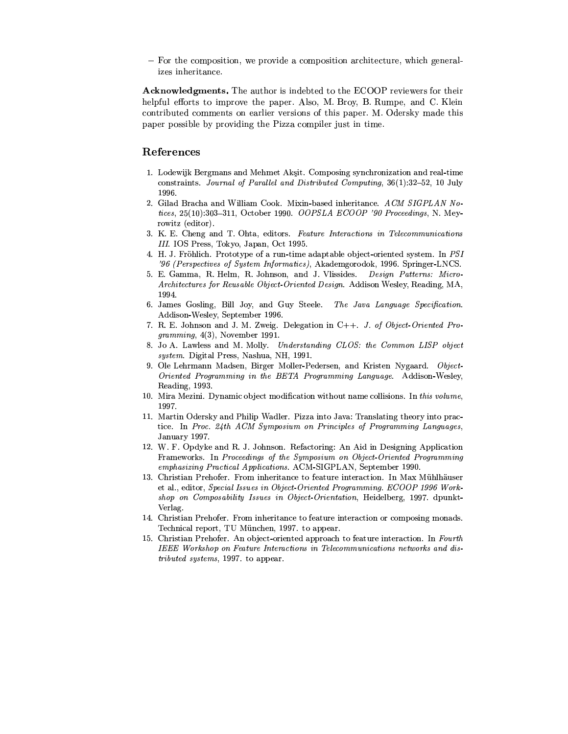- For the composition, we provide a composition architecture, which generalizes inheritance.

Acknowledgments. The author is indebted to the ECOOP reviewers for their helpful efforts to improve the paper. Also, M. Broy, B. Rumpe, and C. Klein contributed comments on earlier versions of this paper. M. Odersky made this paper possible by providing the Pizza compiler just in time.

# References

- 1. Lodewijk Bergmans and Mehmet Aksit. Composing synchronization and real-time constraints. Journal of Parallel and Distributed Computing, 36(1):32-52, 10 July 1996.
- 2. Gilad Bracha and William Cook. Mixin-based inheritance. ACM SIGPLAN Notices, 25(10):303-311, October 1990. OOPSLA ECOOP '90 Proceedings, N. Meyrowitz (editor).
- 3. K. E. Cheng and T. Ohta, editors. Feature Interactions in Telecommunications III. IOS Press, Tokyo, Japan, Oct 1995.
- 4. H. J. Fröhlich. Prototype of a run-time adaptable object-oriented system. In PSI '96 (Perspectives of System Informatics), Akademgorodok, 1996. Springer-LNCS.
- 5. E. Gamma, R. Helm, R. Johnson, and J. Vlissides. Design Patterns: Micro-Architectures for Reusable Object-Oriented Design. Addison Wesley, Reading, MA, 1994.
- 6. James Gosling, Bill Joy, and Guy Steele. The Java Language Specification. Addison-Wesley, September 1996.
- 7. R. E. Johnson and J. M. Zweig. Delegation in C++. J. of Object-Oriented Programming, 4(3), November 1991.
- 8. Jo A. Lawless and M. Molly. Understanding CLOS: the Common LISP object system. Digital Press, Nashua, NH, 1991.
- 9. Ole Lehrmann Madsen, Birger Moller-Pedersen, and Kristen Nygaard. Object-Oriented Programming in the BETA Programming Language. Addison-Wesley, Reading, 1993.
- 10. Mira Mezini. Dynamic object modification without name collisions. In this volume, 1997.
- 11. Martin Odersky and Philip Wadler. Pizza into Java: Translating theory into practice. In Proc. 24th ACM Symposium on Principles of Programming Languages, January 1997.
- 12. W. F. Opdyke and R. J. Johnson. Refactoring: An Aid in Designing Application Frameworks. In Proceedings of the Symposium on Object-Oriented Programming emphasizing Practical Applications. ACM-SIGPLAN, September 1990.
- 13. Christian Prehofer. From inheritance to feature interaction. In Max Mühlhäuser et al., editor, Special Issues in Object-Oriented Programming. ECOOP 1996 Workshop on Composability Issues in Object-Orientation, Heidelberg, 1997. dpunkt-Verlag.
- 14. Christian Prehofer. From inheritance to feature interaction or composing monads. Technical report, TU München, 1997. to appear.
- 15. Christian Prehofer. An object-oriented approach to feature interaction. In Fourth IEEE Workshop on Feature Interactions in Telecommunications networks and dis*tributed systems*, 1997 to appear.